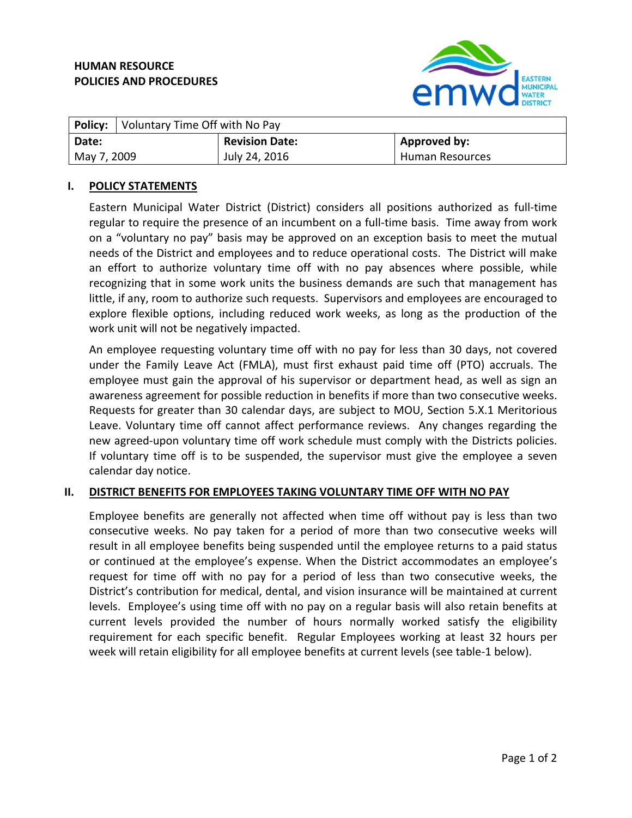# **HUMAN RESOURCE POLICIES AND PROCEDURES**



|             | <b>Policy:</b> Voluntary Time Off with No Pay |                       |                        |
|-------------|-----------------------------------------------|-----------------------|------------------------|
| ' Date:     |                                               | <b>Revision Date:</b> | Approved by:           |
| May 7, 2009 |                                               | July 24, 2016         | <b>Human Resources</b> |

### **I. POLICY STATEMENTS**

Eastern Municipal Water District (District) considers all positions authorized as full‐time regular to require the presence of an incumbent on a full‐time basis. Time away from work on a "voluntary no pay" basis may be approved on an exception basis to meet the mutual needs of the District and employees and to reduce operational costs. The District will make an effort to authorize voluntary time off with no pay absences where possible, while recognizing that in some work units the business demands are such that management has little, if any, room to authorize such requests. Supervisors and employees are encouraged to explore flexible options, including reduced work weeks, as long as the production of the work unit will not be negatively impacted.

An employee requesting voluntary time off with no pay for less than 30 days, not covered under the Family Leave Act (FMLA), must first exhaust paid time off (PTO) accruals. The employee must gain the approval of his supervisor or department head, as well as sign an awareness agreement for possible reduction in benefits if more than two consecutive weeks. Requests for greater than 30 calendar days, are subject to MOU, Section 5.X.1 Meritorious Leave. Voluntary time off cannot affect performance reviews. Any changes regarding the new agreed‐upon voluntary time off work schedule must comply with the Districts policies. If voluntary time off is to be suspended, the supervisor must give the employee a seven calendar day notice.

# **II. DISTRICT BENEFITS FOR EMPLOYEES TAKING VOLUNTARY TIME OFF WITH NO PAY**

Employee benefits are generally not affected when time off without pay is less than two consecutive weeks. No pay taken for a period of more than two consecutive weeks will result in all employee benefits being suspended until the employee returns to a paid status or continued at the employee's expense. When the District accommodates an employee's request for time off with no pay for a period of less than two consecutive weeks, the District's contribution for medical, dental, and vision insurance will be maintained at current levels. Employee's using time off with no pay on a regular basis will also retain benefits at current levels provided the number of hours normally worked satisfy the eligibility requirement for each specific benefit. Regular Employees working at least 32 hours per week will retain eligibility for all employee benefits at current levels (see table-1 below).